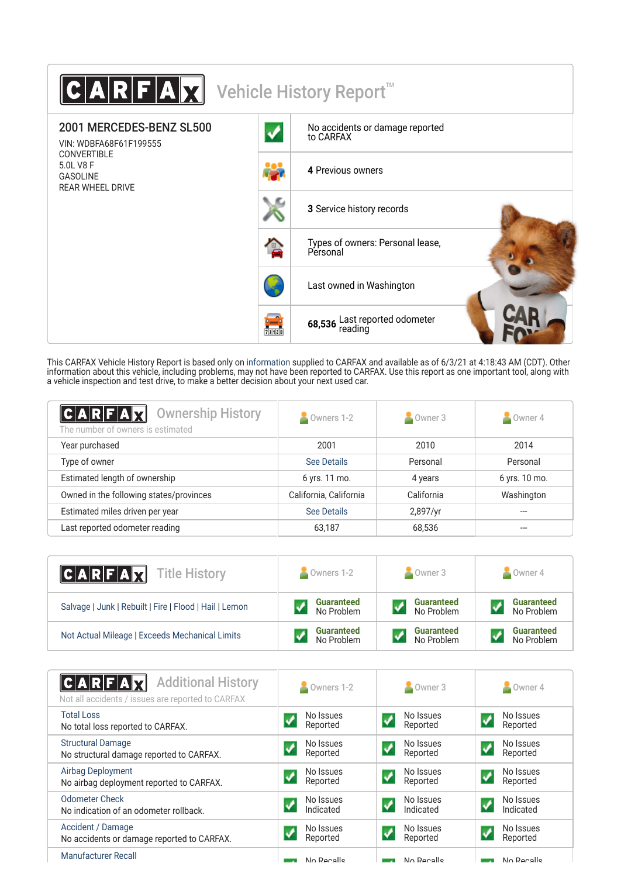| $\textbf{C} \textbf{A} \textbf{R} \textbf{F} \textbf{A} \textbf{X} $          |                      | Vehicle History Report <sup>™</sup>          |
|-------------------------------------------------------------------------------|----------------------|----------------------------------------------|
| 2001 MERCEDES-BENZ SL500<br>VIN: WDBFA68F61F199555                            |                      | No accidents or damage reported<br>to CARFAX |
| <b>CONVERTIBLE</b><br>5.0L V8 F<br><b>GASOLINE</b><br><b>REAR WHEEL DRIVE</b> |                      | 4 Previous owners                            |
|                                                                               |                      | 3 Service history records                    |
|                                                                               | 仓                    | Types of owners: Personal lease,<br>Personal |
|                                                                               |                      | Last owned in Washington                     |
|                                                                               | <b>form</b><br>Thurs | 68,536 Last reported odometer<br>reading     |

This CARFAX Vehicle History Report is based only on [information](http://www.carfax.com/company/vhr-data-sources) supplied to CARFAX and available as of 6/3/21 at 4:18:43 AM (CDT). Other information about this vehicle, including problems, may not have been reported to CARFAX. Use this report as one important tool, along with a vehicle inspection and test drive, to make a better decision about your next used car.

| $ C A R F A \vec{X}  $<br><b>Ownership History</b><br>The number of owners is estimated | Owners 1-2             | Owner 3    | Owner 4       |
|-----------------------------------------------------------------------------------------|------------------------|------------|---------------|
| Year purchased                                                                          | 2001                   | 2010       | 2014          |
| Type of owner                                                                           | See Details            | Personal   | Personal      |
| Estimated length of ownership                                                           | 6 yrs. 11 mo.          | 4 years    | 6 yrs. 10 mo. |
| Owned in the following states/provinces                                                 | California, California | California | Washington    |
| Estimated miles driven per year                                                         | See Details            | 2,897/yr   |               |
| Last reported odometer reading                                                          | 63,187                 | 68,536     |               |

| <b>CARFAX</b> Title History                            | $\bullet$ Owners 1-2 | $\sim$ Owner 3    | $\sim$ Owner 4    |
|--------------------------------------------------------|----------------------|-------------------|-------------------|
| Salvage   Junk   Rebuilt   Fire   Flood   Hail   Lemon | <b>Guaranteed</b>    | <b>Guaranteed</b> | <b>Guaranteed</b> |
|                                                        | No Problem           | No Problem        | No Problem        |
| Not Actual Mileage   Exceeds Mechanical Limits         | <b>Guaranteed</b>    | <b>Guaranteed</b> | <b>Guaranteed</b> |
|                                                        | No Problem           | No Problem        | No Problem        |

| <b>Additional History</b><br>C A R F A X<br>Not all accidents / issues are reported to CARFAX | Owners 1-2             | Owner 3                                              | Owner 4                                             |
|-----------------------------------------------------------------------------------------------|------------------------|------------------------------------------------------|-----------------------------------------------------|
| <b>Total Loss</b><br>No total loss reported to CARFAX.                                        | No Issues<br>Reported  | No Issues<br>Reported                                | No Issues<br>Reported                               |
| <b>Structural Damage</b><br>No structural damage reported to CARFAX.                          | No Issues<br>Reported  | No Issues<br>$\boldsymbol{v}$<br>Reported            | No Issues<br>$\overline{\mathcal{L}}$<br>Reported   |
| Airbag Deployment<br>No airbag deployment reported to CARFAX.                                 | No Issues<br>Reported  | No Issues<br>Reported                                | No Issues<br>Reported                               |
| <b>Odometer Check</b><br>No indication of an odometer rollback.                               | No Issues<br>Indicated | No Issues<br>$\boldsymbol{\mathcal{N}}$<br>Indicated | No Issues<br>$\overline{\mathsf{v}}$<br>Indicated   |
| Accident / Damage<br>No accidents or damage reported to CARFAX.                               | No Issues<br>Reported  | No Issues<br>$\overline{\mathsf{v}}$<br>Reported     | No Issues<br>$\boldsymbol{\mathcal{N}}$<br>Reported |
| <b>Manufacturer Recall</b>                                                                    | No Pecalle             | No Pecalle                                           | No Pecalle                                          |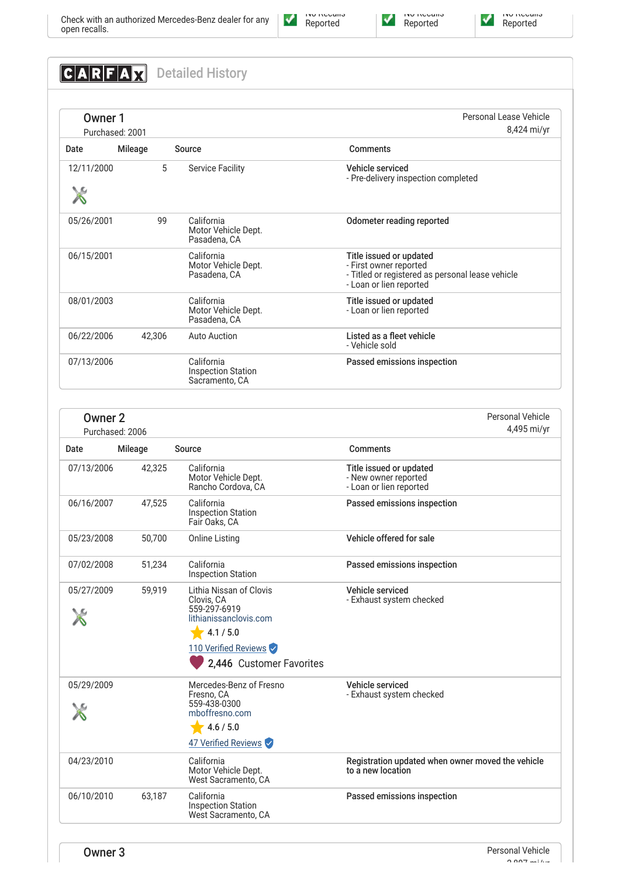# **CARFAX** Detailed History

| Owner 1    | Purchased: 2001 |    |                                                           | Personal Lease Vehicle<br>8,424 mi/yr                                                                                            |
|------------|-----------------|----|-----------------------------------------------------------|----------------------------------------------------------------------------------------------------------------------------------|
| Date       | Mileage         |    | Source                                                    | Comments                                                                                                                         |
| 12/11/2000 |                 | 5  | <b>Service Facility</b>                                   | Vehicle serviced<br>- Pre-delivery inspection completed                                                                          |
| 05/26/2001 |                 | 99 | California<br>Motor Vehicle Dept.<br>Pasadena, CA         | Odometer reading reported                                                                                                        |
| 06/15/2001 |                 |    | California<br>Motor Vehicle Dept.<br>Pasadena, CA         | Title issued or updated<br>- First owner reported<br>- Titled or registered as personal lease vehicle<br>- Loan or lien reported |
| 08/01/2003 |                 |    | California<br>Motor Vehicle Dept.<br>Pasadena, CA         | Title issued or updated<br>- Loan or lien reported                                                                               |
| 06/22/2006 | 42,306          |    | <b>Auto Auction</b>                                       | Listed as a fleet vehicle<br>- Vehicle sold                                                                                      |
| 07/13/2006 |                 |    | California<br><b>Inspection Station</b><br>Sacramento, CA | Passed emissions inspection                                                                                                      |

| Owner <sub>2</sub><br>Purchased: 2006 |         |                                                                                              | <b>Personal Vehicle</b><br>4,495 mi/yr                                     |
|---------------------------------------|---------|----------------------------------------------------------------------------------------------|----------------------------------------------------------------------------|
| Date                                  | Mileage | Source                                                                                       | <b>Comments</b>                                                            |
| 07/13/2006                            | 42,325  | California<br>Motor Vehicle Dept.<br>Rancho Cordova, CA                                      | Title issued or updated<br>- New owner reported<br>- Loan or lien reported |
| 06/16/2007                            | 47,525  | California<br><b>Inspection Station</b><br>Fair Oaks, CA                                     | Passed emissions inspection                                                |
| 05/23/2008                            | 50,700  | <b>Online Listing</b>                                                                        | Vehicle offered for sale                                                   |
| 07/02/2008                            | 51,234  | California<br><b>Inspection Station</b>                                                      | Passed emissions inspection                                                |
| 05/27/2009                            | 59,919  | Lithia Nissan of Clovis<br>Clovis, CA<br>559-297-6919<br>lithianissanclovis.com<br>4.1 / 5.0 | Vehicle serviced<br>- Exhaust system checked                               |
|                                       |         | 110 Verified Reviews<br>2,446 Customer Favorites                                             |                                                                            |
| 05/29/2009                            |         | Mercedes-Benz of Fresno<br>Fresno, CA<br>559-438-0300<br>mboffresno.com                      | Vehicle serviced<br>- Exhaust system checked                               |
|                                       |         | 4.6 / 5.0<br>47 Verified Reviews                                                             |                                                                            |
| 04/23/2010                            |         | California<br>Motor Vehicle Dept.<br>West Sacramento, CA                                     | Registration updated when owner moved the vehicle<br>to a new location     |
| 06/10/2010                            | 63,187  | California<br><b>Inspection Station</b><br>West Sacramento, CA                               | Passed emissions inspection                                                |



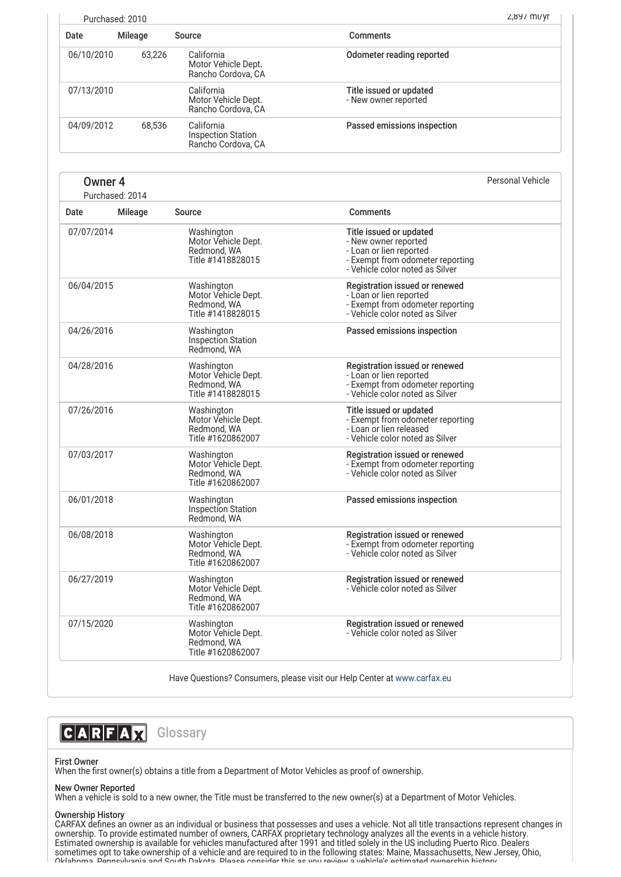| Purchased: 2010 |         |                                                               | $2,89$ / MI/VI                                  |  |
|-----------------|---------|---------------------------------------------------------------|-------------------------------------------------|--|
| Date            | Mileage | Source                                                        | <b>Comments</b>                                 |  |
| 06/10/2010      | 63.226  | California<br>Motor Vehicle Dept.<br>Rancho Cordova, CA       | Odometer reading reported                       |  |
| 07/13/2010      |         | California<br>Motor Vehicle Dept.<br>Rancho Cordova, CA       | Title issued or updated<br>- New owner reported |  |
| 04/09/2012      | 68.536  | California<br><b>Inspection Station</b><br>Rancho Cordova, CA | Passed emissions inspection                     |  |

## Owner 4

Purchased: 2014

Personal Vehicle

| Date       | Mileage | Source                                                                | <b>Comments</b>                                                                                                                                   |
|------------|---------|-----------------------------------------------------------------------|---------------------------------------------------------------------------------------------------------------------------------------------------|
| 07/07/2014 |         | Washington<br>Motor Vehicle Dept.<br>Redmond, WA<br>Title #1418828015 | Title issued or updated<br>- New owner reported<br>- Loan or lien reported<br>- Exempt from odometer reporting<br>- Vehicle color noted as Silver |
| 06/04/2015 |         | Washington<br>Motor Vehicle Dept.<br>Redmond, WA<br>Title #1418828015 | Registration issued or renewed<br>- Loan or lien reported<br>- Exempt from odometer reporting<br>- Vehicle color noted as Silver                  |
| 04/26/2016 |         | Washington<br><b>Inspection Station</b><br>Redmond, WA                | Passed emissions inspection                                                                                                                       |
| 04/28/2016 |         | Washington<br>Motor Vehicle Dept.<br>Redmond, WA<br>Title #1418828015 | Registration issued or renewed<br>- Loan or lien reported<br>- Exempt from odometer reporting<br>- Vehicle color noted as Silver                  |
| 07/26/2016 |         | Washington<br>Motor Vehicle Dept.<br>Redmond, WA<br>Title #1620862007 | Title issued or updated<br>- Exempt from odometer reporting<br>- Loan or lien released<br>- Vehicle color noted as Silver                         |
| 07/03/2017 |         | Washington<br>Motor Vehicle Dept.<br>Redmond, WA<br>Title #1620862007 | Registration issued or renewed<br>- Exempt from odometer reporting<br>- Vehicle color noted as Silver                                             |
| 06/01/2018 |         | Washington<br>Inspection Station<br>Redmond, WA                       | Passed emissions inspection                                                                                                                       |
| 06/08/2018 |         | Washington<br>Motor Vehicle Dept.<br>Redmond, WA<br>Title #1620862007 | Registration issued or renewed<br>- Exempt from odometer reporting<br>- Vehicle color noted as Silver                                             |
| 06/27/2019 |         | Washington<br>Motor Vehicle Dept.<br>Redmond, WA<br>Title #1620862007 | Registration issued or renewed<br>- Vehicle color noted as Silver                                                                                 |
| 07/15/2020 |         | Washington<br>Motor Vehicle Dept.<br>Redmond, WA<br>Title #1620862007 | Registration issued or renewed<br>- Vehicle color noted as Silver                                                                                 |

Have Questions? Consumers, please visit our Help Center at [www.carfax.eu](http://www.carfax.eu/en/contact/)

## **CARFAX** Glossary

### First Owner

When the first owner(s) obtains a title from a Department of Motor Vehicles as proof of ownership.

#### New Owner Reported

When a vehicle is sold to a new owner, the Title must be transferred to the new owner(s) at a Department of Motor Vehicles.

#### Ownership History

CARFAX defines an owner as an individual or business that possesses and uses a vehicle. Not all title transactions represent changes in ownership. To provide estimated number of owners, CARFAX proprietary technology analyzes all the events in a vehicle history. Estimated ownership is available for vehicles manufactured after 1991 and titled solely in the US including Puerto Rico. Dealers sometimes opt to take ownership of a vehicle and are required to in the following states: Maine, Massachusetts, New Jersey, Ohio, Oklahoma Pennsylvania and South Dakota Please consider this as you review a vehicle's estimated ownership history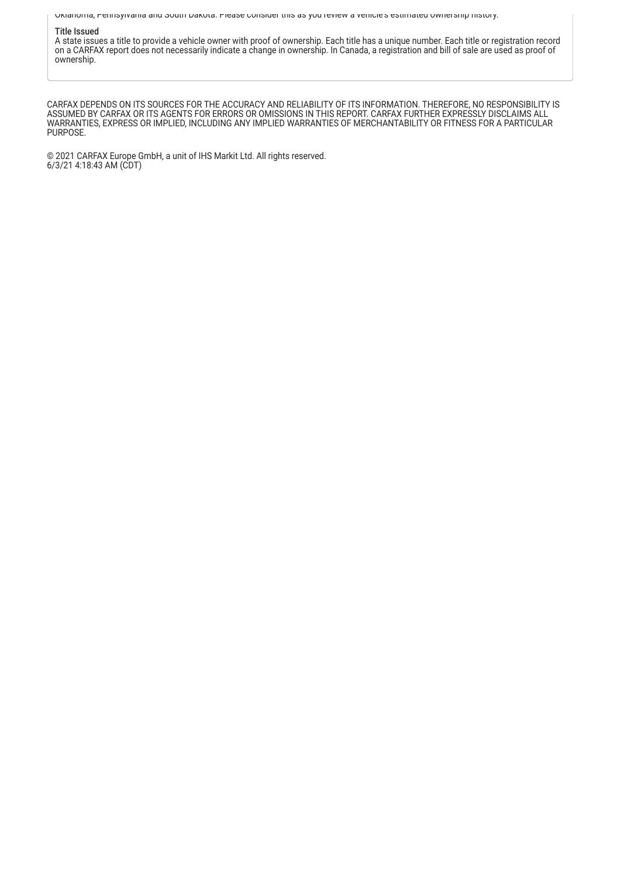Oklahoma, Pennsylvania and South Dakota. Please consider this as you review a vehicle s estimated ownership history.

#### Title Issued

A state issues a title to provide a vehicle owner with proof of ownership. Each title has a unique number. Each title or registration record on a CARFAX report does not necessarily indicate a change in ownership. In Canada, a registration and bill of sale are used as proof of ownership.

CARFAX DEPENDS ON ITS SOURCES FOR THE ACCURACY AND RELIABILITY OF ITS INFORMATION. THEREFORE, NO RESPONSIBILITY IS ASSUMED BY CARFAX OR ITS AGENTS FOR ERRORS OR OMISSIONS IN THIS REPORT. CARFAX FURTHER EXPRESSLY DISCLAIMS ALL WARRANTIES, EXPRESS OR IMPLIED, INCLUDING ANY IMPLIED WARRANTIES OF MERCHANTABILITY OR FITNESS FOR A PARTICULAR PURPOSE.

© 2021 CARFAX Europe GmbH, a unit of IHS Markit Ltd. All rights reserved. 6/3/21 4:18:43 AM (CDT)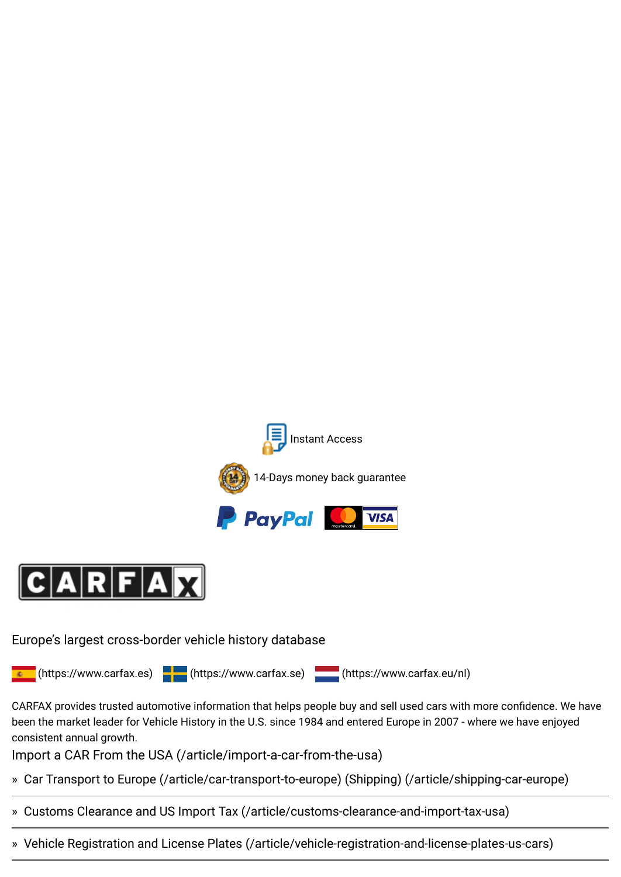



Europe's largest cross-border vehicle history database

**E** [\(https://www.carfax.es\)](https://www.carfax.es/) <mark>(see</mark> [\(https://www.carfax.se\)](https://www.carfax.se/) <mark>\_\_\_\_\_</mark> [\(https://www.carfax.eu/nl\)](https://www.carfax.eu/nl)

CARFAX provides trusted automotive information that helps people buy and sell used cars with more confidence. We have been the market leader for Vehicle History in the U.S. since 1984 and entered Europe in 2007 - where we have enjoyed consistent annual growth.

Import a CAR From the USA [\(/article/import-a-car-from-the-usa\)](https://www.carfax.eu/article/import-a-car-from-the-usa)

- » [Car Transport to Europe \(/article/car-transport-to-europe\)](https://www.carfax.eu/article/car-transport-to-europe) [\(Shipping\) \(/article/shipping-car-europe\)](https://www.carfax.eu/article/shipping-car-europe)
- » [Customs Clearance and US Import Tax \(/article/customs-clearance-and-import-tax-usa\)](https://www.carfax.eu/article/customs-clearance-and-import-tax-usa)
- » [Vehicle Registration and License Plates \(/article/vehicle-registration-and-license-plates-us-cars\)](https://www.carfax.eu/article/vehicle-registration-and-license-plates-us-cars)